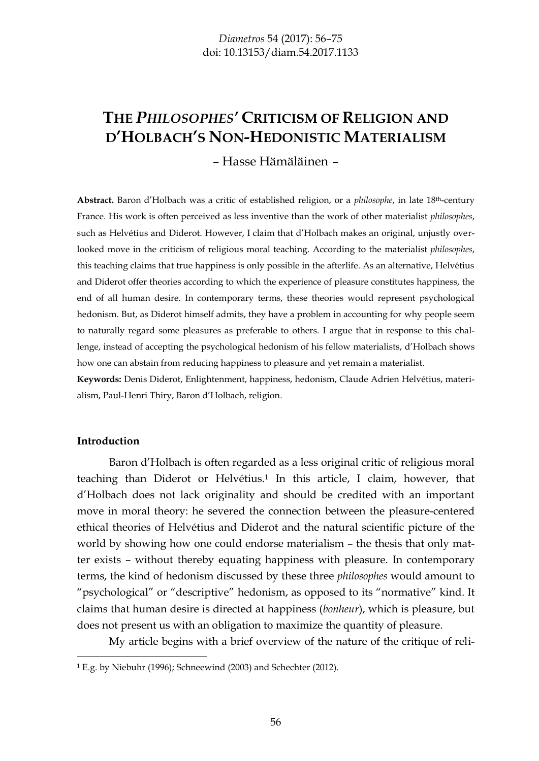# **THE** *PHILOSOPHES'* **CRITICISM OF RELIGION AND D'HOLBACH'S NON-HEDONISTIC MATERIALISM**

– Hasse Hämäläinen –

**Abstract.** Baron d'Holbach was a critic of established religion, or a *philosophe*, in late 18th-century France. His work is often perceived as less inventive than the work of other materialist *philosophes*, such as Helvétius and Diderot. However, I claim that d'Holbach makes an original, unjustly overlooked move in the criticism of religious moral teaching. According to the materialist *philosophes*, this teaching claims that true happiness is only possible in the afterlife. As an alternative, Helvétius and Diderot offer theories according to which the experience of pleasure constitutes happiness, the end of all human desire. In contemporary terms, these theories would represent psychological hedonism. But, as Diderot himself admits, they have a problem in accounting for why people seem to naturally regard some pleasures as preferable to others. I argue that in response to this challenge, instead of accepting the psychological hedonism of his fellow materialists, d'Holbach shows how one can abstain from reducing happiness to pleasure and yet remain a materialist.

**Keywords:** Denis Diderot, Enlightenment, happiness, hedonism, Claude Adrien Helvétius, materialism, Paul-Henri Thiry, Baron d'Holbach, religion.

#### **Introduction**

Baron d'Holbach is often regarded as a less original critic of religious moral teaching than Diderot or Helvétius.<sup>1</sup> In this article, I claim, however, that d'Holbach does not lack originality and should be credited with an important move in moral theory: he severed the connection between the pleasure-centered ethical theories of Helvétius and Diderot and the natural scientific picture of the world by showing how one could endorse materialism – the thesis that only matter exists – without thereby equating happiness with pleasure. In contemporary terms, the kind of hedonism discussed by these three *philosophes* would amount to "psychological" or "descriptive" hedonism, as opposed to its "normative" kind. It claims that human desire is directed at happiness (*bonheur*), which is pleasure, but does not present us with an obligation to maximize the quantity of pleasure.

My article begins with a brief overview of the nature of the critique of reli-

<sup>1</sup> E.g. by Niebuhr (1996); Schneewind (2003) and Schechter (2012).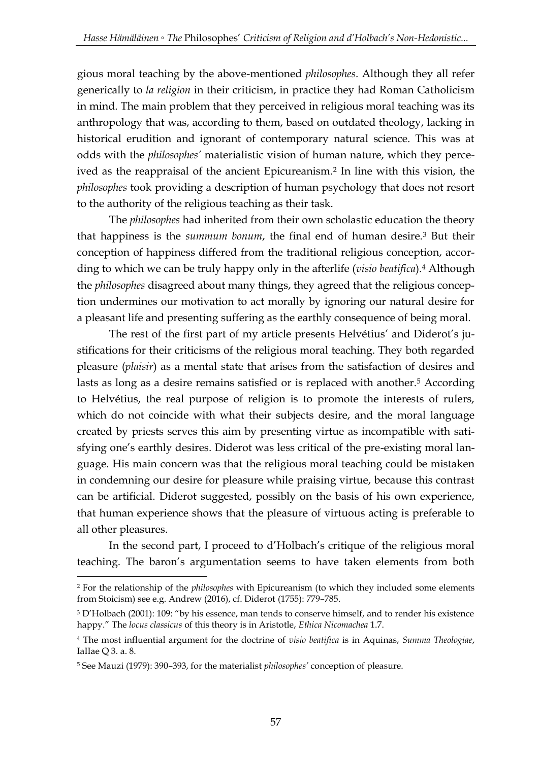gious moral teaching by the above-mentioned *philosophes*. Although they all refer generically to *la religion* in their criticism, in practice they had Roman Catholicism in mind. The main problem that they perceived in religious moral teaching was its anthropology that was, according to them, based on outdated theology, lacking in historical erudition and ignorant of contemporary natural science. This was at odds with the *philosophes'* materialistic vision of human nature, which they perceived as the reappraisal of the ancient Epicureanism.<sup>2</sup> In line with this vision, the *philosophes* took providing a description of human psychology that does not resort to the authority of the religious teaching as their task.

The *philosophes* had inherited from their own scholastic education the theory that happiness is the *summum bonum*, the final end of human desire.<sup>3</sup> But their conception of happiness differed from the traditional religious conception, according to which we can be truly happy only in the afterlife (*visio beatifica*).<sup>4</sup> Although the *philosophes* disagreed about many things, they agreed that the religious conception undermines our motivation to act morally by ignoring our natural desire for a pleasant life and presenting suffering as the earthly consequence of being moral.

The rest of the first part of my article presents Helvétius' and Diderot's justifications for their criticisms of the religious moral teaching. They both regarded pleasure (*plaisir*) as a mental state that arises from the satisfaction of desires and lasts as long as a desire remains satisfied or is replaced with another.<sup>5</sup> According to Helvétius, the real purpose of religion is to promote the interests of rulers, which do not coincide with what their subjects desire, and the moral language created by priests serves this aim by presenting virtue as incompatible with satisfying one's earthly desires. Diderot was less critical of the pre-existing moral language. His main concern was that the religious moral teaching could be mistaken in condemning our desire for pleasure while praising virtue, because this contrast can be artificial. Diderot suggested, possibly on the basis of his own experience, that human experience shows that the pleasure of virtuous acting is preferable to all other pleasures.

In the second part, I proceed to d'Holbach's critique of the religious moral teaching. The baron's argumentation seems to have taken elements from both

<sup>2</sup> For the relationship of the *philosophes* with Epicureanism (to which they included some elements from Stoicism) see e.g. Andrew (2016), cf. Diderot (1755): 779–785.

<sup>3</sup> D'Holbach (2001): 109: "by his essence, man tends to conserve himself, and to render his existence happy." The *locus classicus* of this theory is in Aristotle, *Ethica Nicomachea* 1.7.

<sup>4</sup> The most influential argument for the doctrine of *visio beatifica* is in Aquinas, *Summa Theologiae*, IaIIae Q 3. a. 8.

<sup>5</sup> See Mauzi (1979): 390–393, for the materialist *philosophes'* conception of pleasure.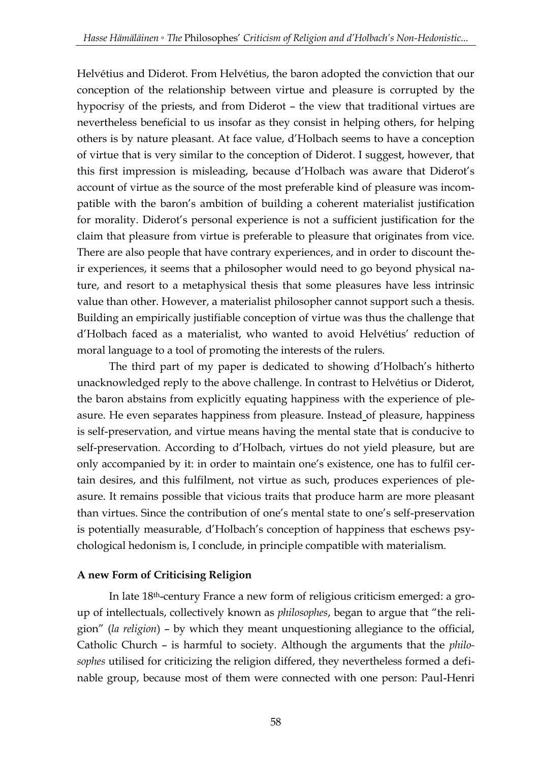Helvétius and Diderot. From Helvétius, the baron adopted the conviction that our conception of the relationship between virtue and pleasure is corrupted by the hypocrisy of the priests, and from Diderot – the view that traditional virtues are nevertheless beneficial to us insofar as they consist in helping others, for helping others is by nature pleasant. At face value, d'Holbach seems to have a conception of virtue that is very similar to the conception of Diderot. I suggest, however, that this first impression is misleading, because d'Holbach was aware that Diderot's account of virtue as the source of the most preferable kind of pleasure was incompatible with the baron's ambition of building a coherent materialist justification for morality. Diderot's personal experience is not a sufficient justification for the claim that pleasure from virtue is preferable to pleasure that originates from vice. There are also people that have contrary experiences, and in order to discount their experiences, it seems that a philosopher would need to go beyond physical nature, and resort to a metaphysical thesis that some pleasures have less intrinsic value than other. However, a materialist philosopher cannot support such a thesis. Building an empirically justifiable conception of virtue was thus the challenge that d'Holbach faced as a materialist, who wanted to avoid Helvétius' reduction of moral language to a tool of promoting the interests of the rulers.

The third part of my paper is dedicated to showing d'Holbach's hitherto unacknowledged reply to the above challenge. In contrast to Helvétius or Diderot, the baron abstains from explicitly equating happiness with the experience of pleasure. He even separates happiness from pleasure. Instead of pleasure, happiness is self-preservation, and virtue means having the mental state that is conducive to self-preservation. According to d'Holbach, virtues do not yield pleasure, but are only accompanied by it: in order to maintain one's existence, one has to fulfil certain desires, and this fulfilment, not virtue as such, produces experiences of pleasure. It remains possible that vicious traits that produce harm are more pleasant than virtues. Since the contribution of one's mental state to one's self-preservation is potentially measurable, d'Holbach's conception of happiness that eschews psychological hedonism is, I conclude, in principle compatible with materialism.

### **A new Form of Criticising Religion**

In late 18th-century France a new form of religious criticism emerged: a group of intellectuals, collectively known as *philosophes*, began to argue that "the religion" (*la religion*) – by which they meant unquestioning allegiance to the official, Catholic Church – is harmful to society. Although the arguments that the *philosophes* utilised for criticizing the religion differed, they nevertheless formed a definable group, because most of them were connected with one person: Paul-Henri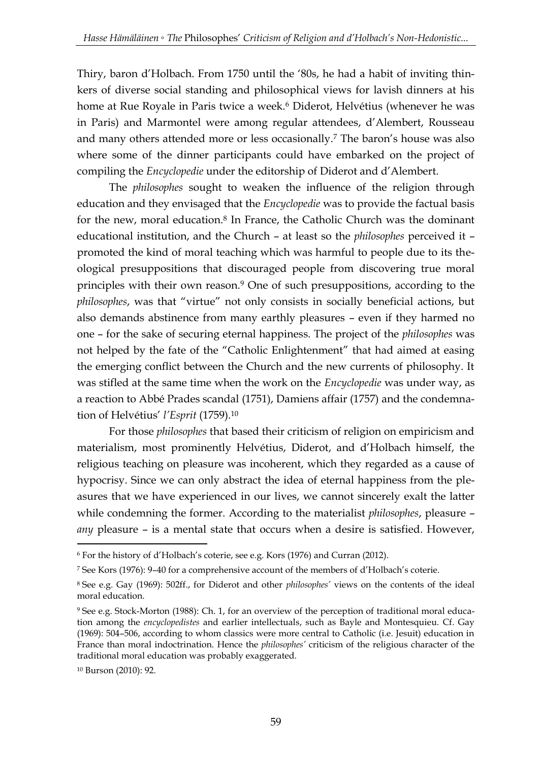Thiry, baron d'Holbach. From 1750 until the '80s, he had a habit of inviting thinkers of diverse social standing and philosophical views for lavish dinners at his home at Rue Royale in Paris twice a week.<sup>6</sup> Diderot, Helvétius (whenever he was in Paris) and Marmontel were among regular attendees, d'Alembert, Rousseau and many others attended more or less occasionally.<sup>7</sup> The baron's house was also where some of the dinner participants could have embarked on the project of compiling the *Encyclopedie* under the editorship of Diderot and d'Alembert.

The *philosophes* sought to weaken the influence of the religion through education and they envisaged that the *Encyclopedie* was to provide the factual basis for the new, moral education.<sup>8</sup> In France, the Catholic Church was the dominant educational institution, and the Church – at least so the *philosophes* perceived it – promoted the kind of moral teaching which was harmful to people due to its theological presuppositions that discouraged people from discovering true moral principles with their own reason.<sup>9</sup> One of such presuppositions, according to the *philosophes*, was that "virtue" not only consists in socially beneficial actions, but also demands abstinence from many earthly pleasures – even if they harmed no one – for the sake of securing eternal happiness. The project of the *philosophes* was not helped by the fate of the "Catholic Enlightenment" that had aimed at easing the emerging conflict between the Church and the new currents of philosophy. It was stifled at the same time when the work on the *Encyclopedie* was under way, as a reaction to Abbé Prades scandal (1751), Damiens affair (1757) and the condemnation of Helvétius' *l'Esprit* (1759).<sup>10</sup>

For those *philosophes* that based their criticism of religion on empiricism and materialism, most prominently Helvétius, Diderot, and d'Holbach himself, the religious teaching on pleasure was incoherent, which they regarded as a cause of hypocrisy. Since we can only abstract the idea of eternal happiness from the pleasures that we have experienced in our lives, we cannot sincerely exalt the latter while condemning the former. According to the materialist *philosophes*, pleasure – *any* pleasure – is a mental state that occurs when a desire is satisfied. However,

<sup>6</sup> For the history of d'Holbach's coterie, see e.g. Kors (1976) and Curran (2012).

<sup>7</sup> See Kors (1976): 9–40 for a comprehensive account of the members of d'Holbach's coterie.

<sup>8</sup> See e.g. Gay (1969): 502ff., for Diderot and other *philosophes'* views on the contents of the ideal moral education.

<sup>9</sup> See e.g. Stock-Morton (1988): Ch. 1, for an overview of the perception of traditional moral education among the *encyclopedistes* and earlier intellectuals, such as Bayle and Montesquieu. Cf. Gay (1969): 504–506, according to whom classics were more central to Catholic (i.e. Jesuit) education in France than moral indoctrination. Hence the *philosophes'* criticism of the religious character of the traditional moral education was probably exaggerated.

<sup>10</sup> Burson (2010): 92.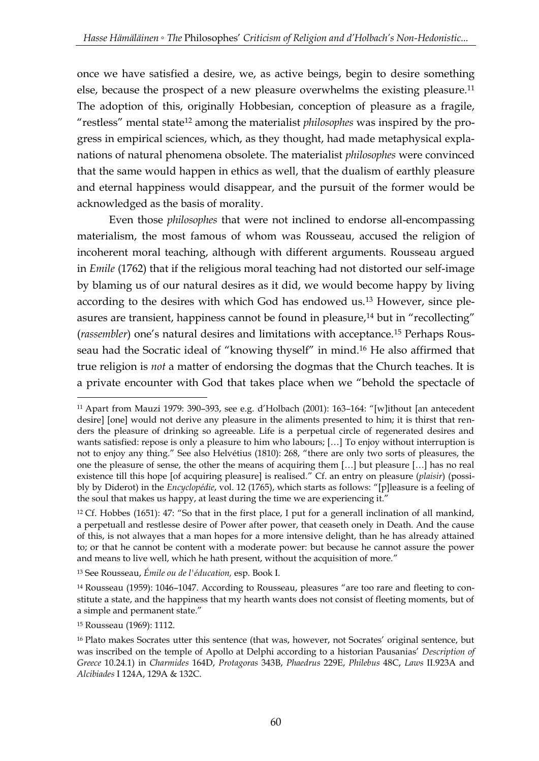once we have satisfied a desire, we, as active beings, begin to desire something else, because the prospect of a new pleasure overwhelms the existing pleasure.<sup>11</sup> The adoption of this, originally Hobbesian, conception of pleasure as a fragile, "restless" mental state<sup>12</sup> among the materialist *philosophes* was inspired by the progress in empirical sciences, which, as they thought, had made metaphysical explanations of natural phenomena obsolete. The materialist *philosophes* were convinced that the same would happen in ethics as well, that the dualism of earthly pleasure and eternal happiness would disappear, and the pursuit of the former would be acknowledged as the basis of morality.

Even those *philosophes* that were not inclined to endorse all-encompassing materialism, the most famous of whom was Rousseau, accused the religion of incoherent moral teaching, although with different arguments. Rousseau argued in *Emile* (1762) that if the religious moral teaching had not distorted our self-image by blaming us of our natural desires as it did, we would become happy by living according to the desires with which God has endowed us.<sup>13</sup> However, since pleasures are transient, happiness cannot be found in pleasure,<sup>14</sup> but in "recollecting" (*rassembler*) one's natural desires and limitations with acceptance.<sup>15</sup> Perhaps Rousseau had the Socratic ideal of "knowing thyself" in mind.<sup>16</sup> He also affirmed that true religion is *not* a matter of endorsing the dogmas that the Church teaches. It is a private encounter with God that takes place when we "behold the spectacle of

<sup>11</sup> Apart from Mauzi 1979: 390–393, see e.g. d'Holbach (2001): 163–164: "[w]ithout [an antecedent desire] [one] would not derive any pleasure in the aliments presented to him; it is thirst that renders the pleasure of drinking so agreeable. Life is a perpetual circle of regenerated desires and wants satisfied: repose is only a pleasure to him who labours; […] To enjoy without interruption is not to enjoy any thing." See also Helvétius (1810): 268, "there are only two sorts of pleasures, the one the pleasure of sense, the other the means of acquiring them […] but pleasure […] has no real existence till this hope [of acquiring pleasure] is realised." Cf. an entry on pleasure (*plaisir*) (possibly by Diderot) in the *Encyclopédie*, vol. 12 (1765), which starts as follows: "[p]leasure is a feeling of the soul that makes us happy, at least during the time we are experiencing it."

<sup>&</sup>lt;sup>12</sup> Cf. Hobbes (1651): 47: "So that in the first place, I put for a generall inclination of all mankind, a perpetuall and restlesse desire of Power after power, that ceaseth onely in Death. And the cause of this, is not alwayes that a man hopes for a more intensive delight, than he has already attained to; or that he cannot be content with a moderate power: but because he cannot assure the power and means to live well, which he hath present, without the acquisition of more."

<sup>13</sup> See Rousseau, *Émile ou de l'éducation,* esp. Book I.

<sup>&</sup>lt;sup>14</sup> Rousseau (1959): 1046-1047. According to Rousseau, pleasures "are too rare and fleeting to constitute a state, and the happiness that my hearth wants does not consist of fleeting moments, but of a simple and permanent state."

<sup>15</sup> Rousseau (1969): 1112.

<sup>16</sup> Plato makes Socrates utter this sentence (that was, however, not Socrates' original sentence, but was inscribed on the temple of Apollo at Delphi according to a historian Pausanias' *Description of Greece* 10.24.1) in *Charmides* 164D, *Protagoras* 343B, *Phaedrus* 229E, *Philebus* 48C, *Laws* II.923A and *Alcibiades* I 124A, 129A & 132C.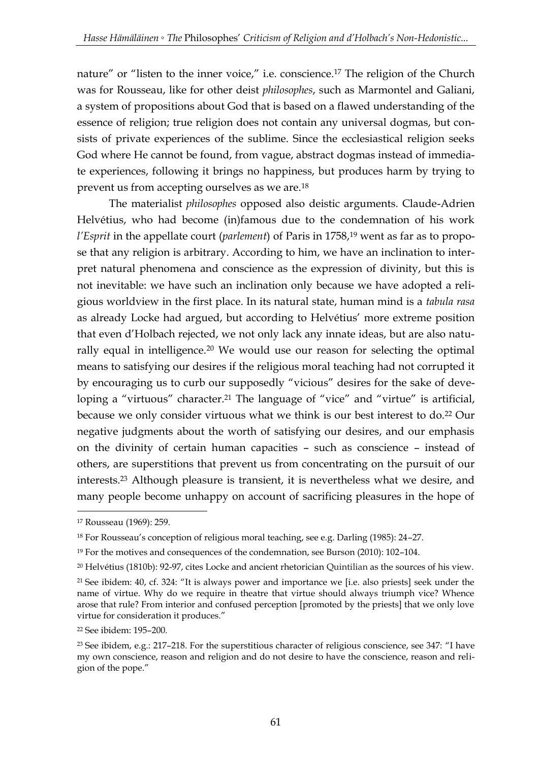nature" or "listen to the inner voice," i.e. conscience.<sup>17</sup> The religion of the Church was for Rousseau, like for other deist *philosophes*, such as Marmontel and Galiani, a system of propositions about God that is based on a flawed understanding of the essence of religion; true religion does not contain any universal dogmas, but consists of private experiences of the sublime. Since the ecclesiastical religion seeks God where He cannot be found, from vague, abstract dogmas instead of immediate experiences, following it brings no happiness, but produces harm by trying to prevent us from accepting ourselves as we are.<sup>18</sup>

The materialist *philosophes* opposed also deistic arguments. Claude-Adrien Helvétius, who had become (in)famous due to the condemnation of his work *l'Esprit* in the appellate court (*parlement*) of Paris in 1758,<sup>19</sup> went as far as to propose that any religion is arbitrary. According to him, we have an inclination to interpret natural phenomena and conscience as the expression of divinity, but this is not inevitable: we have such an inclination only because we have adopted a religious worldview in the first place. In its natural state, human mind is a *tabula rasa* as already Locke had argued, but according to Helvétius' more extreme position that even d'Holbach rejected, we not only lack any innate ideas, but are also naturally equal in intelligence.<sup>20</sup> We would use our reason for selecting the optimal means to satisfying our desires if the religious moral teaching had not corrupted it by encouraging us to curb our supposedly "vicious" desires for the sake of developing a "virtuous" character.<sup>21</sup> The language of "vice" and "virtue" is artificial, because we only consider virtuous what we think is our best interest to do.<sup>22</sup> Our negative judgments about the worth of satisfying our desires, and our emphasis on the divinity of certain human capacities – such as conscience – instead of others, are superstitions that prevent us from concentrating on the pursuit of our interests.<sup>23</sup> Although pleasure is transient, it is nevertheless what we desire, and many people become unhappy on account of sacrificing pleasures in the hope of

<sup>17</sup> Rousseau (1969): 259.

<sup>18</sup> For Rousseau's conception of religious moral teaching, see e.g. Darling (1985): 24–27.

<sup>19</sup> For the motives and consequences of the condemnation, see Burson (2010): 102–104.

<sup>20</sup> Helvétius (1810b): 92-97, cites Locke and ancient rhetorician Quintilian as the sources of his view.

<sup>21</sup> See ibidem: 40, cf. 324: "It is always power and importance we [i.e. also priests] seek under the name of virtue. Why do we require in theatre that virtue should always triumph vice? Whence arose that rule? From interior and confused perception [promoted by the priests] that we only love virtue for consideration it produces."

<sup>22</sup> See ibidem: 195–200.

<sup>23</sup> See ibidem, e.g.: 217–218. For the superstitious character of religious conscience, see 347: "I have my own conscience, reason and religion and do not desire to have the conscience, reason and religion of the pope."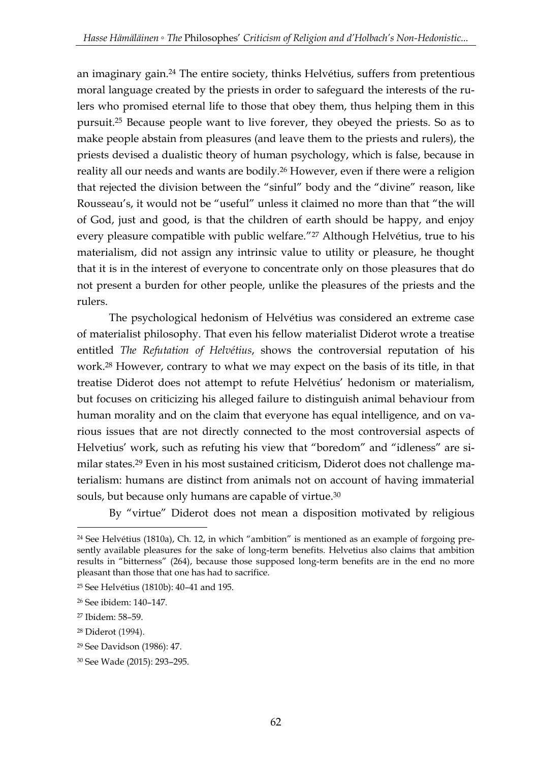an imaginary gain.<sup>24</sup> The entire society, thinks Helvétius, suffers from pretentious moral language created by the priests in order to safeguard the interests of the rulers who promised eternal life to those that obey them, thus helping them in this pursuit.<sup>25</sup> Because people want to live forever, they obeyed the priests. So as to make people abstain from pleasures (and leave them to the priests and rulers), the priests devised a dualistic theory of human psychology, which is false, because in reality all our needs and wants are bodily.<sup>26</sup> However, even if there were a religion that rejected the division between the "sinful" body and the "divine" reason, like Rousseau's, it would not be "useful" unless it claimed no more than that "the will of God, just and good, is that the children of earth should be happy, and enjoy every pleasure compatible with public welfare." <sup>27</sup> Although Helvétius, true to his materialism, did not assign any intrinsic value to utility or pleasure, he thought that it is in the interest of everyone to concentrate only on those pleasures that do not present a burden for other people, unlike the pleasures of the priests and the rulers.

The psychological hedonism of Helvétius was considered an extreme case of materialist philosophy. That even his fellow materialist Diderot wrote a treatise entitled *The Refutation of Helvétius*, shows the controversial reputation of his work.<sup>28</sup> However, contrary to what we may expect on the basis of its title, in that treatise Diderot does not attempt to refute Helvétius' hedonism or materialism, but focuses on criticizing his alleged failure to distinguish animal behaviour from human morality and on the claim that everyone has equal intelligence, and on various issues that are not directly connected to the most controversial aspects of Helvetius' work, such as refuting his view that "boredom" and "idleness" are similar states.<sup>29</sup> Even in his most sustained criticism, Diderot does not challenge materialism: humans are distinct from animals not on account of having immaterial souls, but because only humans are capable of virtue.<sup>30</sup>

By "virtue" Diderot does not mean a disposition motivated by religious

<sup>24</sup> See Helvétius (1810a), Ch. 12, in which "ambition" is mentioned as an example of forgoing presently available pleasures for the sake of long-term benefits. Helvetius also claims that ambition results in "bitterness" (264), because those supposed long-term benefits are in the end no more pleasant than those that one has had to sacrifice.

<sup>25</sup> See Helvétius (1810b): 40–41 and 195.

<sup>26</sup> See ibidem: 140–147.

<sup>27</sup> Ibidem: 58–59.

<sup>28</sup> Diderot (1994).

<sup>29</sup> See Davidson (1986): 47.

<sup>30</sup> See Wade (2015): 293–295.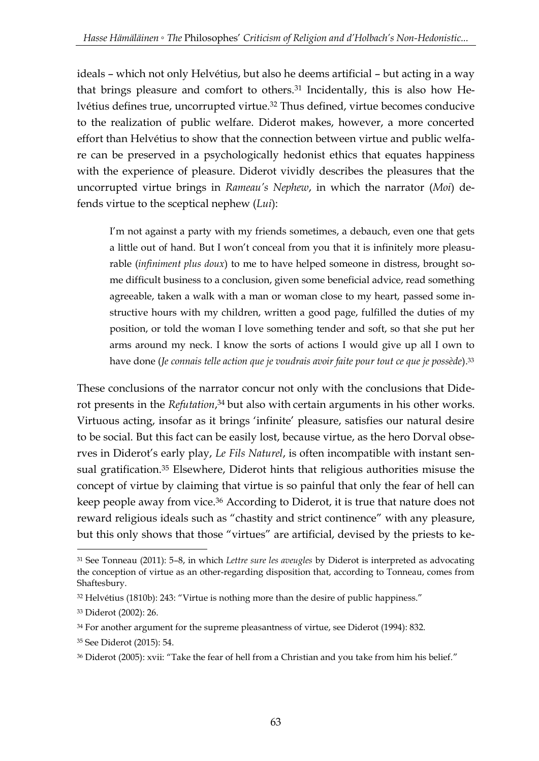ideals – which not only Helvétius, but also he deems artificial – but acting in a way that brings pleasure and comfort to others.<sup>31</sup> Incidentally, this is also how Helvétius defines true, uncorrupted virtue.<sup>32</sup> Thus defined, virtue becomes conducive to the realization of public welfare. Diderot makes, however, a more concerted effort than Helvétius to show that the connection between virtue and public welfare can be preserved in a psychologically hedonist ethics that equates happiness with the experience of pleasure. Diderot vividly describes the pleasures that the uncorrupted virtue brings in *Rameau's Nephew*, in which the narrator (*Moi*) defends virtue to the sceptical nephew (*Lui*):

I'm not against a party with my friends sometimes, a debauch, even one that gets a little out of hand. But I won't conceal from you that it is infinitely more pleasurable (*infiniment plus doux*) to me to have helped someone in distress, brought some difficult business to a conclusion, given some beneficial advice, read something agreeable, taken a walk with a man or woman close to my heart, passed some instructive hours with my children, written a good page, fulfilled the duties of my position, or told the woman I love something tender and soft, so that she put her arms around my neck. I know the sorts of actions I would give up all I own to have done (*Je connais telle action que je voudrais avoir faite pour tout ce que je possède*). 33

These conclusions of the narrator concur not only with the conclusions that Diderot presents in the *Refutation*, <sup>34</sup> but also with certain arguments in his other works. Virtuous acting, insofar as it brings 'infinite' pleasure, satisfies our natural desire to be social. But this fact can be easily lost, because virtue, as the hero Dorval observes in Diderot's early play, *Le Fils Naturel*, is often incompatible with instant sensual gratification.<sup>35</sup> Elsewhere, Diderot hints that religious authorities misuse the concept of virtue by claiming that virtue is so painful that only the fear of hell can keep people away from vice.<sup>36</sup> According to Diderot, it is true that nature does not reward religious ideals such as "chastity and strict continence" with any pleasure, but this only shows that those "virtues" are artificial, devised by the priests to ke-

<sup>31</sup> See Tonneau (2011): 5–8, in which *Lettre sure les aveugles* by Diderot is interpreted as advocating the conception of virtue as an other-regarding disposition that, according to Tonneau, comes from Shaftesbury.

<sup>32</sup> Helvétius (1810b): 243: "Virtue is nothing more than the desire of public happiness."

<sup>33</sup> Diderot (2002): 26.

<sup>34</sup> For another argument for the supreme pleasantness of virtue, see Diderot (1994): 832.

<sup>35</sup> See Diderot (2015): 54.

<sup>36</sup> Diderot (2005): xvii: "Take the fear of hell from a Christian and you take from him his belief."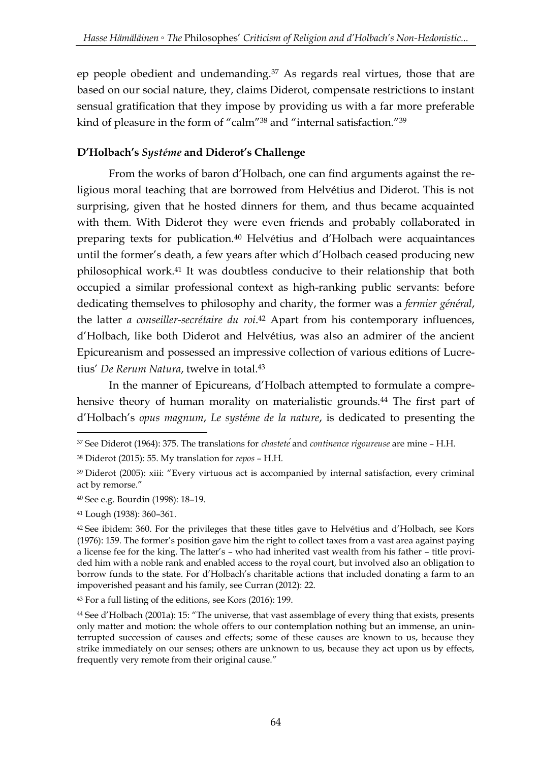ep people obedient and undemanding.<sup>37</sup> As regards real virtues, those that are based on our social nature, they, claims Diderot, compensate restrictions to instant sensual gratification that they impose by providing us with a far more preferable kind of pleasure in the form of "calm"<sup>38</sup> and "internal satisfaction."<sup>39</sup>

### **D'Holbach's** *Systéme* **and Diderot's Challenge**

From the works of baron d'Holbach, one can find arguments against the religious moral teaching that are borrowed from Helvétius and Diderot. This is not surprising, given that he hosted dinners for them, and thus became acquainted with them. With Diderot they were even friends and probably collaborated in preparing texts for publication.<sup>40</sup> Helvétius and d'Holbach were acquaintances until the former's death, a few years after which d'Holbach ceased producing new philosophical work.<sup>41</sup> It was doubtless conducive to their relationship that both occupied a similar professional context as high-ranking public servants: before dedicating themselves to philosophy and charity, the former was a *fermier général*, the latter *a conseiller-secrétaire du roi*. <sup>42</sup> Apart from his contemporary influences, d'Holbach, like both Diderot and Helvétius, was also an admirer of the ancient Epicureanism and possessed an impressive collection of various editions of Lucretius' *De Rerum Natura*, twelve in total.<sup>43</sup>

In the manner of Epicureans, d'Holbach attempted to formulate a comprehensive theory of human morality on materialistic grounds.<sup>44</sup> The first part of d'Holbach's *opus magnum*, *Le systéme de la nature*, is dedicated to presenting the

-

<sup>43</sup> For a full listing of the editions, see Kors (2016): 199.

<sup>37</sup> See Diderot (1964): 375. The translations for *chastete* and *continence rigoureuse* are mine – H.H.

<sup>38</sup> Diderot (2015): 55. My translation for *repos* – H.H*.*

<sup>39</sup> Diderot (2005): xiii: "Every virtuous act is accompanied by internal satisfaction, every criminal act by remorse."

<sup>40</sup> See e.g. Bourdin (1998): 18–19.

<sup>41</sup> Lough (1938): 360–361.

<sup>42</sup> See ibidem: 360. For the privileges that these titles gave to Helvétius and d'Holbach, see Kors (1976): 159. The former's position gave him the right to collect taxes from a vast area against paying a license fee for the king. The latter's – who had inherited vast wealth from his father – title provided him with a noble rank and enabled access to the royal court, but involved also an obligation to borrow funds to the state. For d'Holbach's charitable actions that included donating a farm to an impoverished peasant and his family, see Curran (2012): 22.

<sup>44</sup> See d'Holbach (2001a): 15: "The universe, that vast assemblage of every thing that exists, presents only matter and motion: the whole offers to our contemplation nothing but an immense, an uninterrupted succession of causes and effects; some of these causes are known to us, because they strike immediately on our senses; others are unknown to us, because they act upon us by effects, frequently very remote from their original cause."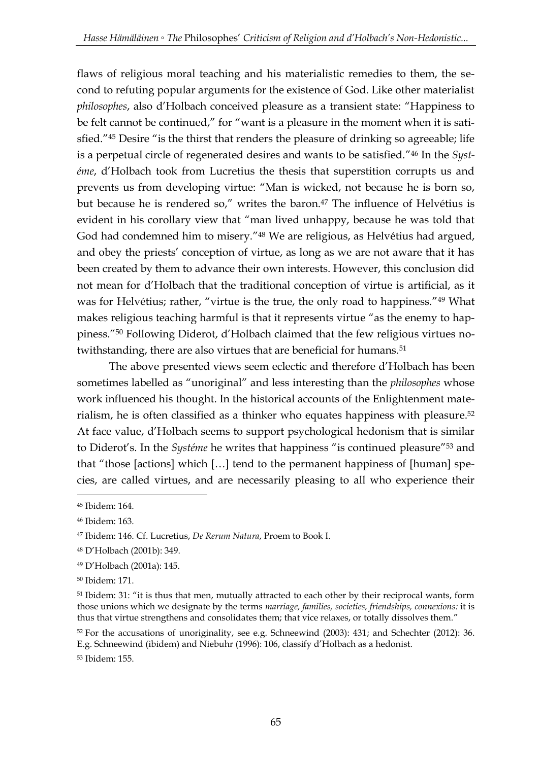flaws of religious moral teaching and his materialistic remedies to them, the second to refuting popular arguments for the existence of God. Like other materialist *philosophes*, also d'Holbach conceived pleasure as a transient state: "Happiness to be felt cannot be continued," for "want is a pleasure in the moment when it is satisfied."<sup>45</sup> Desire "is the thirst that renders the pleasure of drinking so agreeable; life is a perpetual circle of regenerated desires and wants to be satisfied."<sup>46</sup> In the *Systéme*, d'Holbach took from Lucretius the thesis that superstition corrupts us and prevents us from developing virtue: "Man is wicked, not because he is born so, but because he is rendered so," writes the baron.<sup>47</sup> The influence of Helvétius is evident in his corollary view that "man lived unhappy, because he was told that God had condemned him to misery." <sup>48</sup> We are religious, as Helvétius had argued, and obey the priests' conception of virtue, as long as we are not aware that it has been created by them to advance their own interests. However, this conclusion did not mean for d'Holbach that the traditional conception of virtue is artificial, as it was for Helvétius; rather, "virtue is the true, the only road to happiness."<sup>49</sup> What makes religious teaching harmful is that it represents virtue "as the enemy to happiness."<sup>50</sup> Following Diderot, d'Holbach claimed that the few religious virtues notwithstanding, there are also virtues that are beneficial for humans.<sup>51</sup>

The above presented views seem eclectic and therefore d'Holbach has been sometimes labelled as "unoriginal" and less interesting than the *philosophes* whose work influenced his thought. In the historical accounts of the Enlightenment materialism, he is often classified as a thinker who equates happiness with pleasure.<sup>52</sup> At face value, d'Holbach seems to support psychological hedonism that is similar to Diderot's. In the *Systéme* he writes that happiness "is continued pleasure"<sup>53</sup> and that "those [actions] which […] tend to the permanent happiness of [human] species, are called virtues, and are necessarily pleasing to all who experience their

<sup>45</sup> Ibidem: 164.

<sup>46</sup> Ibidem: 163.

<sup>47</sup> Ibidem: 146. Cf. Lucretius, *De Rerum Natura*, Proem to Book I.

<sup>48</sup> D'Holbach (2001b): 349.

<sup>49</sup> D'Holbach (2001a): 145.

<sup>50</sup> Ibidem: 171.

<sup>51</sup> Ibidem: 31: "it is thus that men, mutually attracted to each other by their reciprocal wants, form those unions which we designate by the terms *marriage, families, societies, friendships, connexions:* it is thus that virtue strengthens and consolidates them; that vice relaxes, or totally dissolves them."

<sup>52</sup> For the accusations of unoriginality, see e.g. Schneewind (2003): 431; and Schechter (2012): 36. E.g. Schneewind (ibidem) and Niebuhr (1996): 106, classify d'Holbach as a hedonist.

<sup>53</sup> Ibidem: 155.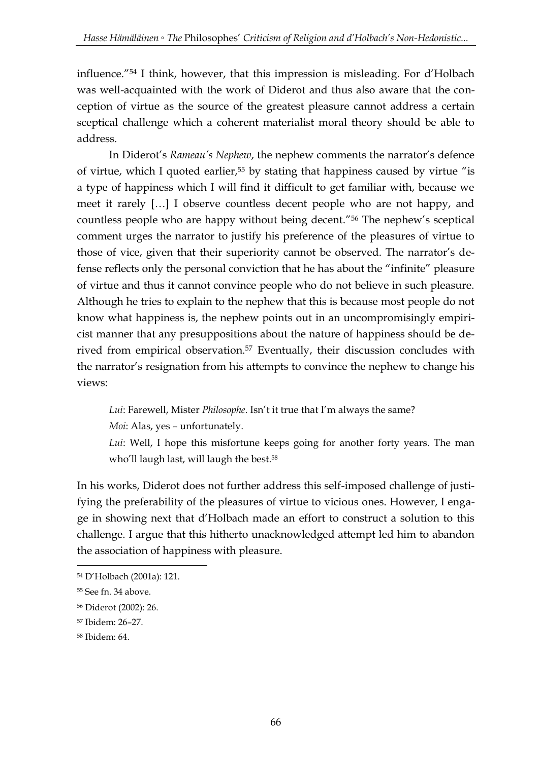influence."<sup>54</sup> I think, however, that this impression is misleading. For d'Holbach was well-acquainted with the work of Diderot and thus also aware that the conception of virtue as the source of the greatest pleasure cannot address a certain sceptical challenge which a coherent materialist moral theory should be able to address.

In Diderot's *Rameau's Nephew*, the nephew comments the narrator's defence of virtue, which I quoted earlier,<sup>55</sup> by stating that happiness caused by virtue "is a type of happiness which I will find it difficult to get familiar with, because we meet it rarely […] I observe countless decent people who are not happy, and countless people who are happy without being decent."<sup>56</sup> The nephew's sceptical comment urges the narrator to justify his preference of the pleasures of virtue to those of vice, given that their superiority cannot be observed. The narrator's defense reflects only the personal conviction that he has about the "infinite" pleasure of virtue and thus it cannot convince people who do not believe in such pleasure. Although he tries to explain to the nephew that this is because most people do not know what happiness is, the nephew points out in an uncompromisingly empiricist manner that any presuppositions about the nature of happiness should be derived from empirical observation.<sup>57</sup> Eventually, their discussion concludes with the narrator's resignation from his attempts to convince the nephew to change his views:

*Lui*: Farewell, Mister *Philosophe*. Isn't it true that I'm always the same?

*Moi*: Alas, yes – unfortunately.

*Lui*: Well, I hope this misfortune keeps going for another forty years. The man who'll laugh last, will laugh the best.<sup>58</sup>

In his works, Diderot does not further address this self-imposed challenge of justifying the preferability of the pleasures of virtue to vicious ones. However, I engage in showing next that d'Holbach made an effort to construct a solution to this challenge. I argue that this hitherto unacknowledged attempt led him to abandon the association of happiness with pleasure.

<sup>54</sup> D'Holbach (2001a): 121.

<sup>55</sup> See fn. 34 above.

<sup>56</sup> Diderot (2002): 26.

<sup>57</sup> Ibidem: 26–27.

<sup>58</sup> Ibidem: 64.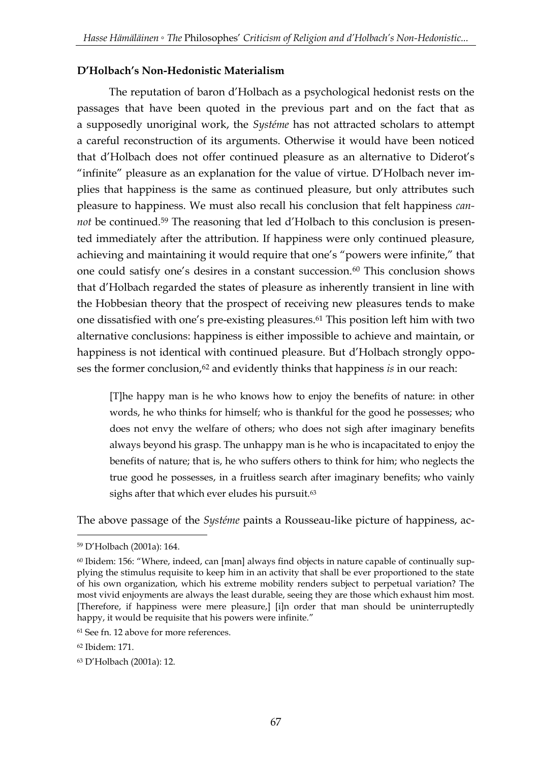#### **D'Holbach's Non-Hedonistic Materialism**

The reputation of baron d'Holbach as a psychological hedonist rests on the passages that have been quoted in the previous part and on the fact that as a supposedly unoriginal work, the *Systéme* has not attracted scholars to attempt a careful reconstruction of its arguments. Otherwise it would have been noticed that d'Holbach does not offer continued pleasure as an alternative to Diderot's "infinite" pleasure as an explanation for the value of virtue. D'Holbach never implies that happiness is the same as continued pleasure, but only attributes such pleasure to happiness. We must also recall his conclusion that felt happiness *cannot* be continued.<sup>59</sup> The reasoning that led d'Holbach to this conclusion is presented immediately after the attribution. If happiness were only continued pleasure, achieving and maintaining it would require that one's "powers were infinite," that one could satisfy one's desires in a constant succession.<sup>60</sup> This conclusion shows that d'Holbach regarded the states of pleasure as inherently transient in line with the Hobbesian theory that the prospect of receiving new pleasures tends to make one dissatisfied with one's pre-existing pleasures. <sup>61</sup> This position left him with two alternative conclusions: happiness is either impossible to achieve and maintain, or happiness is not identical with continued pleasure. But d'Holbach strongly opposes the former conclusion,<sup>62</sup> and evidently thinks that happiness *is* in our reach:

[T]he happy man is he who knows how to enjoy the benefits of nature: in other words, he who thinks for himself; who is thankful for the good he possesses; who does not envy the welfare of others; who does not sigh after imaginary benefits always beyond his grasp. The unhappy man is he who is incapacitated to enjoy the benefits of nature; that is, he who suffers others to think for him; who neglects the true good he possesses, in a fruitless search after imaginary benefits; who vainly sighs after that which ever eludes his pursuit.<sup>63</sup>

The above passage of the *Systéme* paints a Rousseau-like picture of happiness, ac-

<u>.</u>

<sup>59</sup> D'Holbach (2001a): 164.

 $60$  Ibidem: 156: "Where, indeed, can [man] always find objects in nature capable of continually supplying the stimulus requisite to keep him in an activity that shall be ever proportioned to the state of his own organization, which his extreme mobility renders subject to perpetual variation? The most vivid enjoyments are always the least durable, seeing they are those which exhaust him most. [Therefore, if happiness were mere pleasure,] [i]n order that man should be uninterruptedly happy, it would be requisite that his powers were infinite."

<sup>61</sup> See fn. 12 above for more references.

<sup>62</sup> Ibidem: 171.

<sup>63</sup> D'Holbach (2001a): 12.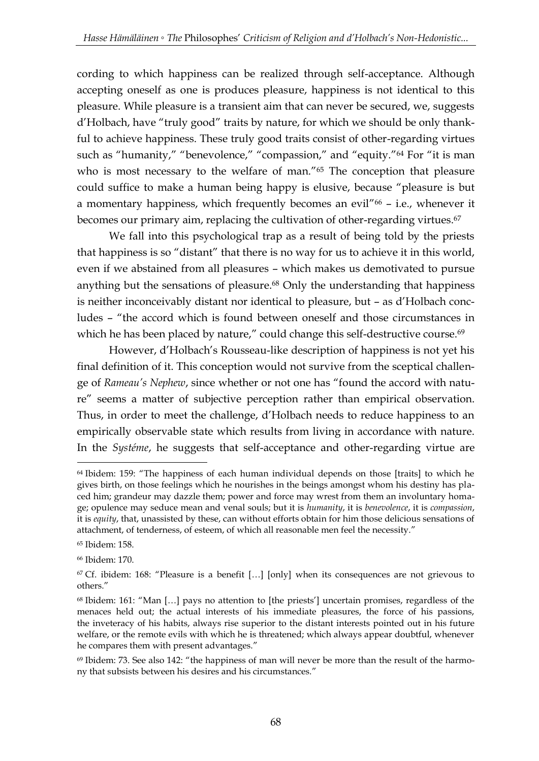cording to which happiness can be realized through self-acceptance. Although accepting oneself as one is produces pleasure, happiness is not identical to this pleasure. While pleasure is a transient aim that can never be secured, we, suggests d'Holbach, have "truly good" traits by nature, for which we should be only thankful to achieve happiness. These truly good traits consist of other-regarding virtues such as "humanity," "benevolence," "compassion," and "equity."<sup>64</sup> For "it is man who is most necessary to the welfare of man."<sup>65</sup> The conception that pleasure could suffice to make a human being happy is elusive, because "pleasure is but a momentary happiness, which frequently becomes an evil<sup>"66</sup> - i.e., whenever it becomes our primary aim, replacing the cultivation of other-regarding virtues.<sup>67</sup>

We fall into this psychological trap as a result of being told by the priests that happiness is so "distant" that there is no way for us to achieve it in this world, even if we abstained from all pleasures – which makes us demotivated to pursue anything but the sensations of pleasure.<sup>68</sup> Only the understanding that happiness is neither inconceivably distant nor identical to pleasure, but – as d'Holbach concludes – "the accord which is found between oneself and those circumstances in which he has been placed by nature," could change this self-destructive course.<sup>69</sup>

However, d'Holbach's Rousseau-like description of happiness is not yet his final definition of it. This conception would not survive from the sceptical challenge of *Rameau's Nephew*, since whether or not one has "found the accord with nature" seems a matter of subjective perception rather than empirical observation. Thus, in order to meet the challenge, d'Holbach needs to reduce happiness to an empirically observable state which results from living in accordance with nature. In the *Systéme*, he suggests that self-acceptance and other-regarding virtue are

<sup>64</sup> Ibidem: 159: "The happiness of each human individual depends on those [traits] to which he gives birth, on those feelings which he nourishes in the beings amongst whom his destiny has placed him; grandeur may dazzle them; power and force may wrest from them an involuntary homage; opulence may seduce mean and venal souls; but it is *humanity*, it is *benevolence*, it is *compassion*, it is *equity*, that, unassisted by these, can without efforts obtain for him those delicious sensations of attachment, of tenderness, of esteem, of which all reasonable men feel the necessity."

<sup>65</sup> Ibidem: 158.

<sup>66</sup> Ibidem: 170.

<sup>&</sup>lt;sup>67</sup> Cf. ibidem: 168: "Pleasure is a benefit [...] [only] when its consequences are not grievous to others."

<sup>68</sup> Ibidem: 161: "Man […] pays no attention to [the priests'] uncertain promises, regardless of the menaces held out; the actual interests of his immediate pleasures, the force of his passions, the inveteracy of his habits, always rise superior to the distant interests pointed out in his future welfare, or the remote evils with which he is threatened; which always appear doubtful, whenever he compares them with present advantages."

 $69$  Ibidem: 73. See also 142: "the happiness of man will never be more than the result of the harmony that subsists between his desires and his circumstances."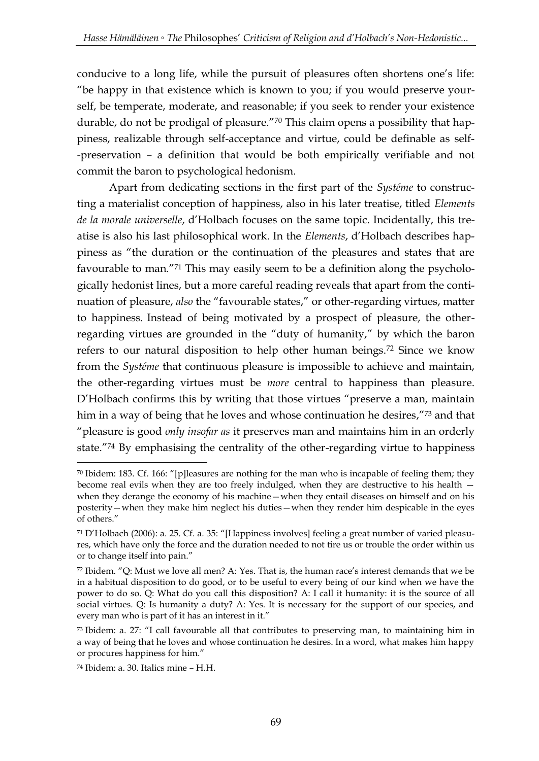conducive to a long life, while the pursuit of pleasures often shortens one's life: "be happy in that existence which is known to you; if you would preserve yourself, be temperate, moderate, and reasonable; if you seek to render your existence durable, do not be prodigal of pleasure."<sup>70</sup> This claim opens a possibility that happiness, realizable through self-acceptance and virtue, could be definable as self- -preservation – a definition that would be both empirically verifiable and not commit the baron to psychological hedonism.

Apart from dedicating sections in the first part of the *Systéme* to constructing a materialist conception of happiness, also in his later treatise, titled *Elements de la morale universelle*, d'Holbach focuses on the same topic. Incidentally, this treatise is also his last philosophical work. In the *Elements*, d'Holbach describes happiness as "the duration or the continuation of the pleasures and states that are favourable to man."<sup>71</sup> This may easily seem to be a definition along the psychologically hedonist lines, but a more careful reading reveals that apart from the continuation of pleasure, *also* the "favourable states," or other-regarding virtues, matter to happiness. Instead of being motivated by a prospect of pleasure, the otherregarding virtues are grounded in the "duty of humanity," by which the baron refers to our natural disposition to help other human beings.<sup>72</sup> Since we know from the *Systéme* that continuous pleasure is impossible to achieve and maintain, the other-regarding virtues must be *more* central to happiness than pleasure. D'Holbach confirms this by writing that those virtues "preserve a man, maintain him in a way of being that he loves and whose continuation he desires,"<sup>73</sup> and that "pleasure is good *only insofar as* it preserves man and maintains him in an orderly state."<sup>74</sup> By emphasising the centrality of the other-regarding virtue to happiness

 $\frac{70}{10}$  Ibidem: 183. Cf. 166: "[p] leasures are nothing for the man who is incapable of feeling them; they become real evils when they are too freely indulged, when they are destructive to his health when they derange the economy of his machine—when they entail diseases on himself and on his posterity—when they make him neglect his duties—when they render him despicable in the eyes of others."

<sup>71</sup> D'Holbach (2006): a. 25. Cf. a. 35: "[Happiness involves] feeling a great number of varied pleasures, which have only the force and the duration needed to not tire us or trouble the order within us or to change itself into pain."

<sup>72</sup> Ibidem. "Q: Must we love all men? A: Yes. That is, the human race's interest demands that we be in a habitual disposition to do good, or to be useful to every being of our kind when we have the power to do so. Q: What do you call this disposition? A: I call it humanity: it is the source of all social virtues. Q: Is humanity a duty? A: Yes. It is necessary for the support of our species, and every man who is part of it has an interest in it."

<sup>73</sup> Ibidem: a. 27: "I call favourable all that contributes to preserving man, to maintaining him in a way of being that he loves and whose continuation he desires. In a word, what makes him happy or procures happiness for him."

<sup>74</sup> Ibidem: a. 30. Italics mine – H.H.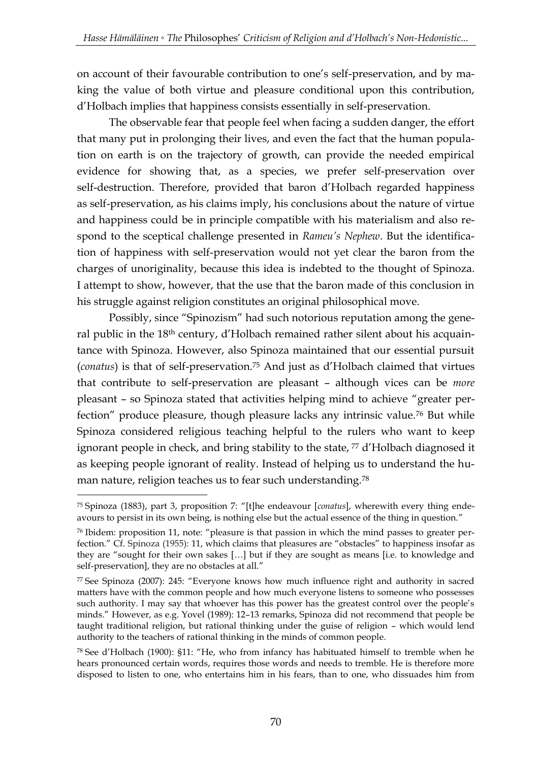on account of their favourable contribution to one's self-preservation, and by making the value of both virtue and pleasure conditional upon this contribution, d'Holbach implies that happiness consists essentially in self-preservation.

The observable fear that people feel when facing a sudden danger, the effort that many put in prolonging their lives, and even the fact that the human population on earth is on the trajectory of growth, can provide the needed empirical evidence for showing that, as a species, we prefer self-preservation over self-destruction. Therefore, provided that baron d'Holbach regarded happiness as self-preservation, as his claims imply, his conclusions about the nature of virtue and happiness could be in principle compatible with his materialism and also respond to the sceptical challenge presented in *Rameu's Nephew*. But the identification of happiness with self-preservation would not yet clear the baron from the charges of unoriginality, because this idea is indebted to the thought of Spinoza. I attempt to show, however, that the use that the baron made of this conclusion in his struggle against religion constitutes an original philosophical move.

Possibly, since "Spinozism" had such notorious reputation among the general public in the 18th century, d'Holbach remained rather silent about his acquaintance with Spinoza. However, also Spinoza maintained that our essential pursuit (*conatus*) is that of self-preservation.<sup>75</sup> And just as d'Holbach claimed that virtues that contribute to self-preservation are pleasant – although vices can be *more* pleasant – so Spinoza stated that activities helping mind to achieve "greater perfection" produce pleasure, though pleasure lacks any intrinsic value.<sup>76</sup> But while Spinoza considered religious teaching helpful to the rulers who want to keep ignorant people in check, and bring stability to the state,  $\frac{7}{7}$  d'Holbach diagnosed it as keeping people ignorant of reality. Instead of helping us to understand the human nature, religion teaches us to fear such understanding.<sup>78</sup>

<sup>75</sup> Spinoza (1883), part 3, proposition 7: "[t]he endeavour [*conatus*], wherewith every thing endeavours to persist in its own being, is nothing else but the actual essence of the thing in question."

<sup>76</sup> Ibidem: proposition 11, note: "pleasure is that passion in which the mind passes to greater perfection." Cf. Spinoza (1955): 11, which claims that pleasures are "obstacles" to happiness insofar as they are "sought for their own sakes […] but if they are sought as means [i.e. to knowledge and self-preservation], they are no obstacles at all."

<sup>77</sup> See Spinoza (2007): 245: "Everyone knows how much influence right and authority in sacred matters have with the common people and how much everyone listens to someone who possesses such authority. I may say that whoever has this power has the greatest control over the people's minds." However, as e.g. Yovel (1989): 12–13 remarks, Spinoza did not recommend that people be taught traditional religion, but rational thinking under the guise of religion – which would lend authority to the teachers of rational thinking in the minds of common people.

<sup>78</sup> See d'Holbach (1900): §11: "He, who from infancy has habituated himself to tremble when he hears pronounced certain words, requires those words and needs to tremble. He is therefore more disposed to listen to one, who entertains him in his fears, than to one, who dissuades him from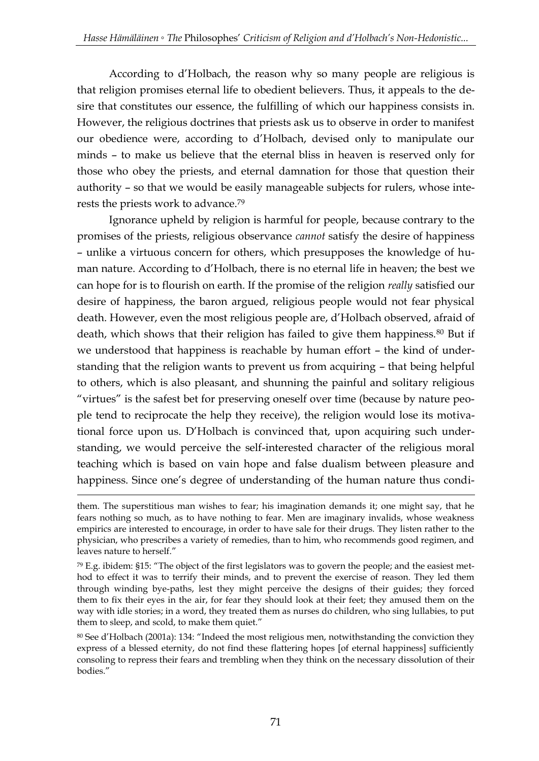According to d'Holbach, the reason why so many people are religious is that religion promises eternal life to obedient believers. Thus, it appeals to the desire that constitutes our essence, the fulfilling of which our happiness consists in. However, the religious doctrines that priests ask us to observe in order to manifest our obedience were, according to d'Holbach, devised only to manipulate our minds – to make us believe that the eternal bliss in heaven is reserved only for those who obey the priests, and eternal damnation for those that question their authority – so that we would be easily manageable subjects for rulers, whose interests the priests work to advance.<sup>79</sup>

Ignorance upheld by religion is harmful for people, because contrary to the promises of the priests, religious observance *cannot* satisfy the desire of happiness – unlike a virtuous concern for others, which presupposes the knowledge of human nature. According to d'Holbach, there is no eternal life in heaven; the best we can hope for is to flourish on earth. If the promise of the religion *really* satisfied our desire of happiness, the baron argued, religious people would not fear physical death. However, even the most religious people are, d'Holbach observed, afraid of death, which shows that their religion has failed to give them happiness.<sup>80</sup> But if we understood that happiness is reachable by human effort – the kind of understanding that the religion wants to prevent us from acquiring – that being helpful to others, which is also pleasant, and shunning the painful and solitary religious "virtues" is the safest bet for preserving oneself over time (because by nature people tend to reciprocate the help they receive), the religion would lose its motivational force upon us. D'Holbach is convinced that, upon acquiring such understanding, we would perceive the self-interested character of the religious moral teaching which is based on vain hope and false dualism between pleasure and happiness. Since one's degree of understanding of the human nature thus condi-

them. The superstitious man wishes to fear; his imagination demands it; one might say, that he fears nothing so much, as to have nothing to fear. Men are imaginary invalids, whose weakness empirics are interested to encourage, in order to have sale for their drugs. They listen rather to the physician, who prescribes a variety of remedies, than to him, who recommends good regimen, and leaves nature to herself."

<sup>79</sup> E.g. ibidem: §15: "The object of the first legislators was to govern the people; and the easiest method to effect it was to terrify their minds, and to prevent the exercise of reason. They led them through winding bye-paths, lest they might perceive the designs of their guides; they forced them to fix their eyes in the air, for fear they should look at their feet; they amused them on the way with idle stories; in a word, they treated them as nurses do children, who sing lullabies, to put them to sleep, and scold, to make them quiet."

<sup>80</sup> See d'Holbach (2001a): 134: "Indeed the most religious men, notwithstanding the conviction they express of a blessed eternity, do not find these flattering hopes [of eternal happiness] sufficiently consoling to repress their fears and trembling when they think on the necessary dissolution of their bodies."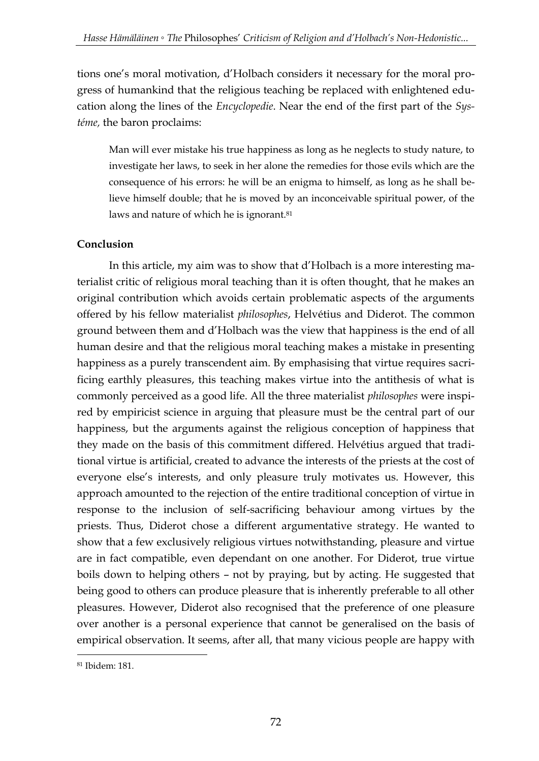tions one's moral motivation, d'Holbach considers it necessary for the moral progress of humankind that the religious teaching be replaced with enlightened education along the lines of the *Encyclopedie*. Near the end of the first part of the *Systéme,* the baron proclaims:

Man will ever mistake his true happiness as long as he neglects to study nature, to investigate her laws, to seek in her alone the remedies for those evils which are the consequence of his errors: he will be an enigma to himself, as long as he shall believe himself double; that he is moved by an inconceivable spiritual power, of the laws and nature of which he is ignorant.<sup>81</sup>

## **Conclusion**

In this article, my aim was to show that d'Holbach is a more interesting materialist critic of religious moral teaching than it is often thought, that he makes an original contribution which avoids certain problematic aspects of the arguments offered by his fellow materialist *philosophes*, Helvétius and Diderot. The common ground between them and d'Holbach was the view that happiness is the end of all human desire and that the religious moral teaching makes a mistake in presenting happiness as a purely transcendent aim. By emphasising that virtue requires sacrificing earthly pleasures, this teaching makes virtue into the antithesis of what is commonly perceived as a good life. All the three materialist *philosophes* were inspired by empiricist science in arguing that pleasure must be the central part of our happiness, but the arguments against the religious conception of happiness that they made on the basis of this commitment differed. Helvétius argued that traditional virtue is artificial, created to advance the interests of the priests at the cost of everyone else's interests, and only pleasure truly motivates us. However, this approach amounted to the rejection of the entire traditional conception of virtue in response to the inclusion of self-sacrificing behaviour among virtues by the priests. Thus, Diderot chose a different argumentative strategy. He wanted to show that a few exclusively religious virtues notwithstanding, pleasure and virtue are in fact compatible, even dependant on one another. For Diderot, true virtue boils down to helping others – not by praying, but by acting. He suggested that being good to others can produce pleasure that is inherently preferable to all other pleasures. However, Diderot also recognised that the preference of one pleasure over another is a personal experience that cannot be generalised on the basis of empirical observation. It seems, after all, that many vicious people are happy with

<u>.</u>

<sup>81</sup> Ibidem: 181.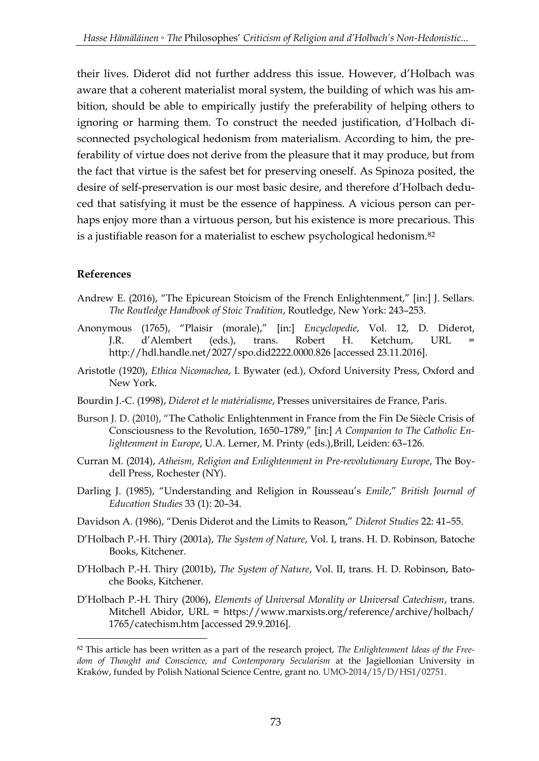their lives. Diderot did not further address this issue. However, d'Holbach was aware that a coherent materialist moral system, the building of which was his ambition, should be able to empirically justify the preferability of helping others to ignoring or harming them. To construct the needed justification, d'Holbach disconnected psychological hedonism from materialism. According to him, the preferability of virtue does not derive from the pleasure that it may produce, but from the fact that virtue is the safest bet for preserving oneself. As Spinoza posited, the desire of self-preservation is our most basic desire, and therefore d'Holbach deduced that satisfying it must be the essence of happiness. A vicious person can perhaps enjoy more than a virtuous person, but his existence is more precarious. This is a justifiable reason for a materialist to eschew psychological hedonism.<sup>82</sup>

### **References**

<u>.</u>

- Andrew E. (2016), "The Epicurean Stoicism of the French Enlightenment," [in:] J. Sellars. *The Routledge Handbook of Stoic Tradition*, Routledge, New York: 243–253.
- Anonymous (1765), "Plaisir (morale)," [in:] *Encyclopedie*, Vol. 12, D. Diderot, J.R. d'Alembert (eds.), trans. Robert H. Ketchum, URL http://hdl.handle.net/2027/spo.did2222.0000.826 [accessed 23.11.2016].
- Aristotle (1920), *Ethica Nicomachea*, I. Bywater (ed.), Oxford University Press, Oxford and New York.
- Bourdin J.-C. (1998), *Diderot et le matérialisme*, Presses universitaires de France, Paris.
- Burson J. D. (2010), "The Catholic Enlightenment in France from the Fin De Siècle Crisis of Consciousness to the Revolution, 1650–1789," [in:] *A Companion to The Catholic Enlightenment in Europe*, U.A. Lerner, M. Printy (eds.),Brill, Leiden: 63–126.
- Curran M. (2014), *Atheism, Religion and Enlightenment in Pre-revolutionary Europe*, The Boydell Press, Rochester (NY).
- Darling J. (1985), "Understanding and Religion in Rousseau's *Emile*," *British Journal of Education Studies* 33 (1): 20–34.
- Davidson A. (1986), "Denis Diderot and the Limits to Reason," *Diderot Studies* 22: 41–55.
- D'Holbach P.-H. Thiry (2001a), *The System of Nature*, Vol. I, trans. H. D. Robinson, Batoche Books, Kitchener.
- D'Holbach P.-H. Thiry (2001b), *The System of Nature*, Vol. II, trans. H. D. Robinson, Batoche Books, Kitchener.
- D'Holbach P.-H. Thiry (2006), *Elements of Universal Morality or Universal Catechism*, trans. Mitchell Abidor, URL = https://www.marxists.org/reference/archive/holbach/ 1765/catechism.htm [accessed 29.9.2016].

<sup>82</sup> This article has been written as a part of the research project, *The Enlightenment Ideas of the Freedom of Thought and Conscience, and Contemporary Secularism* at the Jagiellonian University in Kraków, funded by Polish National Science Centre, grant no. UMO-2014/15/D/HS1/02751.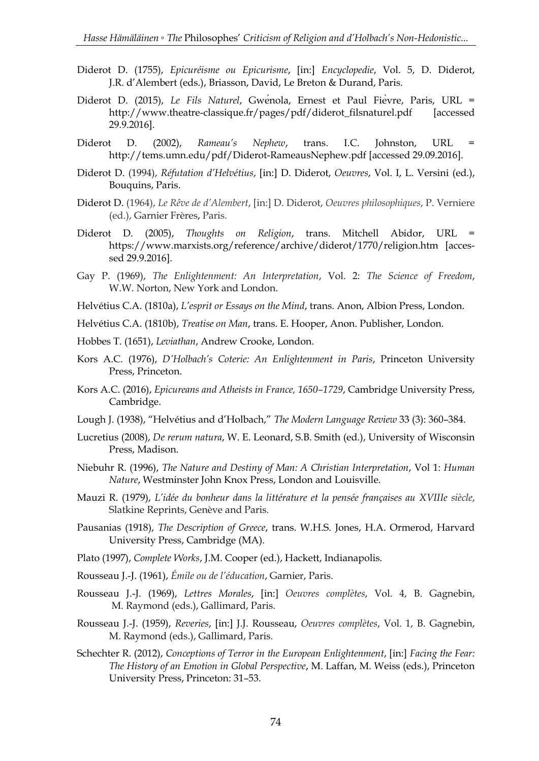- Diderot D. (1755), *Epicuréisme ou Epicurisme*, [in:] *Encyclopedie*, Vol. 5, D. Diderot, J.R. d'Alembert (eds.), Briasson, David, Le Breton & Durand, Paris.
- Diderot D. (2015), *Le Fils Naturel*, Gwenola, Ernest et Paul Fievre, Paris, URL = http://www.theatre-classique.fr/pages/pdf/diderot\_filsnaturel.pdf [accessed 29.9.2016].
- Diderot D. (2002), *Rameau's Nephew*, trans. I.C. Johnston, URL = http://tems.umn.edu/pdf/Diderot-RameausNephew.pdf [accessed 29.09.2016].
- Diderot D. (1994), *Réfutation d'Helvétius*, [in:] D. Diderot, *Oeuvres*, Vol. I, L. Versini (ed.), Bouquins, Paris.
- Diderot D. (1964), *Le Rêve de d'Alembert*, [in:] D. Diderot, *Oeuvres philosophiques*, P. Verniere (ed.), Garnier Frères, Paris.
- Diderot D. (2005), *Thoughts on Religion*, trans. Mitchell Abidor, URL = https://www.marxists.org/reference/archive/diderot/1770/religion.htm [accessed 29.9.2016].
- Gay P. (1969), *The Enlightenment: An Interpretation*, Vol. 2: *The Science of Freedom*, W.W. Norton, New York and London.
- Helvétius C.A. (1810a), *L'esprit or Essays on the Mind*, trans. Anon, Albion Press, London.
- Helvétius C.A. (1810b), *Treatise on Man*, trans. E. Hooper, Anon. Publisher, London.
- Hobbes T. (1651), *Leviathan*, Andrew Crooke, London.
- Kors A.C. (1976), *D'Holbach's Coterie: An Enlightenment in Paris*, Princeton University Press, Princeton.
- Kors A.C. (2016), *Epicureans and Atheists in France, 1650–1729*, Cambridge University Press, Cambridge.
- Lough J. (1938), "Helvétius and d'Holbach," *The Modern Language Review* 33 (3): 360–384.
- Lucretius (2008), *De rerum natura*, W. E. Leonard, S.B. Smith (ed.), University of Wisconsin Press, Madison.
- Niebuhr R. (1996), *The Nature and Destiny of Man: A Christian Interpretation*, Vol 1: *Human Nature*, Westminster John Knox Press, London and Louisville.
- Mauzi R. (1979), *L'idée du bonheur dans la littérature et la pensée françaises au XVIIIe siècle*, Slatkine Reprints, Genève and Paris.
- Pausanias (1918), *The Description of Greece*, trans. W.H.S. Jones, H.A. Ormerod, Harvard University Press, Cambridge (MA).
- Plato (1997), *Complete Works*, J.M. Cooper (ed.), Hackett, Indianapolis.
- Rousseau J.-J. (1961), *Émile ou de l'éducation*, Garnier, Paris.
- Rousseau J.-J. (1969), *Lettres Morales*, [in:] *Oeuvres complètes*, Vol. 4, B. Gagnebin, M. Raymond (eds.), Gallimard, Paris.
- Rousseau J.-J. (1959), *Reveries*, [in:] J.J. Rousseau, *Oeuvres complètes*, Vol. 1, B. Gagnebin, M. Raymond (eds.), Gallimard, Paris.
- Schechter R. (2012), *Conceptions of Terror in the European Enlightenment*, [in:] *Facing the Fear: The History of an Emotion in Global Perspective*, M. Laffan, M. Weiss (eds.), Princeton University Press, Princeton: 31–53.